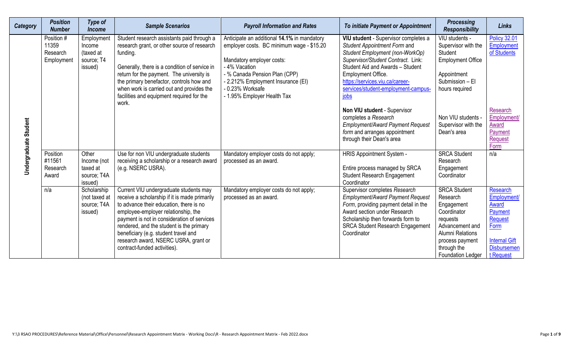| <b>Category</b>       | <b>Position</b><br><b>Number</b>              | <b>Type of</b><br><b>Income</b>                            | <b>Sample Scenarios</b>                                                                                                                                                                                                                                                                                                                                                              | <b>Payroll Information and Rates</b>                                                                                                                                                                                                                             | To initiate Payment or Appointment                                                                                                                                                                                                                                                        | <b>Processing</b><br><b>Responsibility</b>                                                                                                                                    | <b>Links</b>                                                                                                                     |
|-----------------------|-----------------------------------------------|------------------------------------------------------------|--------------------------------------------------------------------------------------------------------------------------------------------------------------------------------------------------------------------------------------------------------------------------------------------------------------------------------------------------------------------------------------|------------------------------------------------------------------------------------------------------------------------------------------------------------------------------------------------------------------------------------------------------------------|-------------------------------------------------------------------------------------------------------------------------------------------------------------------------------------------------------------------------------------------------------------------------------------------|-------------------------------------------------------------------------------------------------------------------------------------------------------------------------------|----------------------------------------------------------------------------------------------------------------------------------|
| Undergraduate Student | Position #<br>11359<br>Research<br>Employment | Employment<br>Income<br>(taxed at<br>source: T4<br>issued) | Student research assistants paid through a<br>research grant, or other source of research<br>funding.<br>Generally, there is a condition of service in<br>return for the payment. The university is<br>the primary benefactor, controls how and<br>when work is carried out and provides the<br>facilities and equipment required for the<br>work.                                   | Anticipate an additional 14.1% in mandatory<br>employer costs. BC minimum wage - \$15.20<br>Mandatory employer costs:<br>- 4% Vacation<br>- % Canada Pension Plan (CPP)<br>- 2.212% Employment Insurance (EI)<br>- 0.23% Worksafe<br>- 1.95% Employer Health Tax | VIU student - Supervisor completes a<br>Student Appointment Form and<br>Student Employment (non-WorkOp)<br>Supervisor/Student Contract. Link:<br>Student Aid and Awards - Student<br>Employment Office.<br>https://services.viu.ca/career-<br>services/student-employment-campus-<br>jobs | VIU students -<br>Supervisor with the<br><b>Student</b><br><b>Employment Office</b><br>Appointment<br>Submission - El<br>hours required                                       | <b>Policy 32.01</b><br>Employment<br>of Students                                                                                 |
|                       |                                               |                                                            |                                                                                                                                                                                                                                                                                                                                                                                      |                                                                                                                                                                                                                                                                  | <b>Non VIU student - Supervisor</b><br>completes a Research<br><b>Employment/Award Payment Request</b><br>form and arranges appointment<br>through their Dean's area                                                                                                                      | Non VIU students -<br>Supervisor with the<br>Dean's area                                                                                                                      | Research<br>Employment/<br>Award<br>Payment<br>Request<br>Form                                                                   |
|                       | Position<br>#11561<br>Research<br>Award       | Other<br>Income (not<br>taxed at<br>source; T4A<br>issued) | Use for non VIU undergraduate students<br>receiving a scholarship or a research award<br>(e.g. NSERC USRA).                                                                                                                                                                                                                                                                          | Mandatory employer costs do not apply;<br>processed as an award.                                                                                                                                                                                                 | <b>HRIS Appointment System -</b><br>Entire process managed by SRCA<br><b>Student Research Engagement</b><br>Coordinator                                                                                                                                                                   | <b>SRCA Student</b><br>Research<br>Engagement<br>Coordinator                                                                                                                  | n/a                                                                                                                              |
|                       | n/a                                           | Scholarship<br>(not taxed at<br>source; T4A<br>issued)     | Current VIU undergraduate students may<br>receive a scholarship if it is made primarily<br>to advance their education, there is no<br>employee-employer relationship, the<br>payment is not in consideration of services<br>rendered, and the student is the primary<br>beneficiary (e.g. student travel and<br>research award, NSERC USRA, grant or<br>contract-funded activities). | Mandatory employer costs do not apply;<br>processed as an award.                                                                                                                                                                                                 | Supervisor completes Research<br>Employment/Award Payment Request<br>Form, providing payment detail in the<br>Award section under Research<br>Scholarship then forwards form to<br><b>SRCA Student Research Engagement</b><br>Coordinator                                                 | <b>SRCA Student</b><br>Research<br>Engagement<br>Coordinator<br>requests<br>Advancement and<br><b>Alumni Relations</b><br>process payment<br>through the<br>Foundation Ledger | Research<br>Employment/<br><b>Award</b><br>Payment<br>Request<br>Form<br><b>Internal Gift</b><br><b>Disbursemen</b><br>t Request |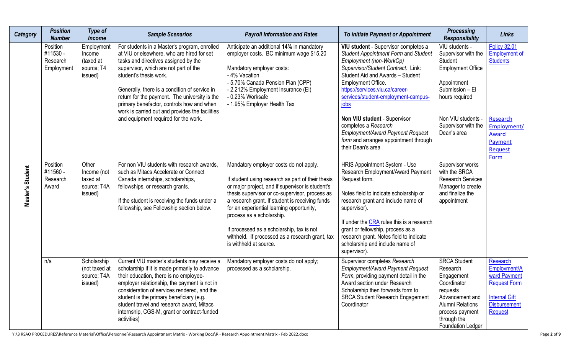| Category         | <b>Position</b><br><b>Number</b>               | <b>Type of</b><br><b>Income</b>                            | <b>Sample Scenarios</b>                                                                                                                                                                                                                                                                                                                                                                                                                         | <b>Payroll Information and Rates</b>                                                                                                                                                                                                                                                                                                                                                                                                                     | To initiate Payment or Appointment                                                                                                                                                                                                                                                                                                                                                                                                                  | <b>Processing</b><br><b>Responsibility</b>                                                                                                                                                   | <b>Links</b>                                                                                                                     |
|------------------|------------------------------------------------|------------------------------------------------------------|-------------------------------------------------------------------------------------------------------------------------------------------------------------------------------------------------------------------------------------------------------------------------------------------------------------------------------------------------------------------------------------------------------------------------------------------------|----------------------------------------------------------------------------------------------------------------------------------------------------------------------------------------------------------------------------------------------------------------------------------------------------------------------------------------------------------------------------------------------------------------------------------------------------------|-----------------------------------------------------------------------------------------------------------------------------------------------------------------------------------------------------------------------------------------------------------------------------------------------------------------------------------------------------------------------------------------------------------------------------------------------------|----------------------------------------------------------------------------------------------------------------------------------------------------------------------------------------------|----------------------------------------------------------------------------------------------------------------------------------|
| Master's Student | Position<br>#11530 -<br>Research<br>Employment | Employment<br>Income<br>(taxed at<br>source; T4<br>issued) | For students in a Master's program, enrolled<br>at VIU or elsewhere, who are hired for set<br>tasks and directives assigned by the<br>supervisor, which are not part of the<br>student's thesis work.<br>Generally, there is a condition of service in<br>return for the payment. The university is the<br>primary benefactor, controls how and when<br>work is carried out and provides the facilities<br>and equipment required for the work. | Anticipate an additional 14% in mandatory<br>employer costs. BC minimum wage \$15.20<br>Mandatory employer costs:<br>- 4% Vacation<br>- 5.70% Canada Pension Plan (CPP)<br>- 2.212% Employment Insurance (EI)<br>- 0.23% Worksafe<br>- 1.95% Employer Health Tax                                                                                                                                                                                         | VIU student - Supervisor completes a<br>Student Appointment Form and Student<br>Employment (non-WorkOp)<br>Supervisor/Student Contract. Link:<br>Student Aid and Awards - Student<br>Employment Office.<br>https://services.viu.ca/career-<br>services/student-employment-campus-<br>jobs<br>Non VIU student - Supervisor<br>completes a Research<br>Employment/Award Payment Request<br>form and arranges appointment through<br>their Dean's area | VIU students -<br>Supervisor with the<br>Student<br><b>Employment Office</b><br>Appointment<br>Submission - El<br>hours required<br>Non VIU students -<br>Supervisor with the<br>Dean's area | <b>Policy 32.01</b><br><b>Employment of</b><br><b>Students</b><br>Research<br>Employment/<br>Award<br>Payment<br>Request<br>Form |
|                  | Position<br>#11560 -<br>Research<br>Award      | Other<br>Income (not<br>taxed at<br>source; T4A<br>issued) | For non VIU students with research awards,<br>such as Mitacs Accelerate or Connect<br>Canada internships, scholarships,<br>fellowships, or research grants.<br>If the student is receiving the funds under a<br>fellowship, see Fellowship section below.                                                                                                                                                                                       | Mandatory employer costs do not apply.<br>If student using research as part of their thesis<br>or major project, and if supervisor is student's<br>thesis supervisor or co-supervisor, process as<br>a research grant. If student is receiving funds<br>for an experiential learning opportunity,<br>process as a scholarship.<br>If processed as a scholarship, tax is not<br>withheld. If processed as a research grant, tax<br>is withheld at source. | HRIS Appointment System - Use<br>Research Employment/Award Payment<br>Request form.<br>Notes field to indicate scholarship or<br>research grant and include name of<br>supervisor).<br>If under the CRA rules this is a research<br>grant or fellowship, process as a<br>research grant. Notes field to indicate<br>scholarship and include name of<br>supervisor).                                                                                 | Supervisor works<br>with the SRCA<br><b>Research Services</b><br>Manager to create<br>and finalize the<br>appointment                                                                        |                                                                                                                                  |
|                  | n/a                                            | Scholarship<br>(not taxed at<br>source; T4A<br>issued)     | Current VIU master's students may receive a<br>scholarship if it is made primarily to advance<br>their education, there is no employee-<br>employer relationship, the payment is not in<br>consideration of services rendered, and the<br>student is the primary beneficiary (e.g.<br>student travel and research award, Mitacs<br>internship, CGS-M, grant or contract-funded<br>activities)                                                   | Mandatory employer costs do not apply;<br>processed as a scholarship.                                                                                                                                                                                                                                                                                                                                                                                    | Supervisor completes Research<br><b>Employment/Award Payment Request</b><br>Form, providing payment detail in the<br>Award section under Research<br>Scholarship then forwards form to<br><b>SRCA Student Research Engagement</b><br>Coordinator                                                                                                                                                                                                    | <b>SRCA Student</b><br>Research<br>Engagement<br>Coordinator<br>requests<br>Advancement and<br><b>Alumni Relations</b><br>process payment<br>through the<br>Foundation Ledger                | Research<br>Employment/A<br>ward Payment<br><b>Request Form</b><br><b>Internal Gift</b><br><b>Disbursement</b><br>Request        |

Y:\3 RSAO PROCEDURES\Reference Material\Office\Personnel\Research Appointment Matrix - Working Docs\R - Research Appointment Matrix - Feb 2022.docx Page 2 of 9 Page 2 of 9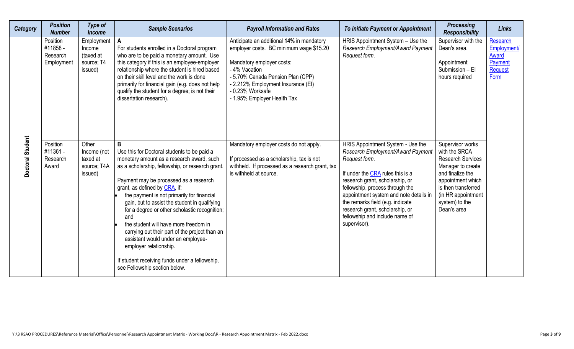| <b>Category</b>  | <b>Position</b><br><b>Number</b>                                                            | <b>Type of</b><br><b>Income</b>                                                                                            | <b>Sample Scenarios</b>                                                                                                                                                                                                                                                                                                                                                                                                                                                                                                                                                                                                                                                                                                                                  | <b>Payroll Information and Rates</b>                                                                                                                                                                                                                                                                                                                                                                                                 | To initiate Payment or Appointment                                                                                                                                                                                                                                                                                                                                                                            | <b>Processing</b><br><b>Responsibility</b>                                                                                                                                                                                                                                                           | <b>Links</b>                                                          |
|------------------|---------------------------------------------------------------------------------------------|----------------------------------------------------------------------------------------------------------------------------|----------------------------------------------------------------------------------------------------------------------------------------------------------------------------------------------------------------------------------------------------------------------------------------------------------------------------------------------------------------------------------------------------------------------------------------------------------------------------------------------------------------------------------------------------------------------------------------------------------------------------------------------------------------------------------------------------------------------------------------------------------|--------------------------------------------------------------------------------------------------------------------------------------------------------------------------------------------------------------------------------------------------------------------------------------------------------------------------------------------------------------------------------------------------------------------------------------|---------------------------------------------------------------------------------------------------------------------------------------------------------------------------------------------------------------------------------------------------------------------------------------------------------------------------------------------------------------------------------------------------------------|------------------------------------------------------------------------------------------------------------------------------------------------------------------------------------------------------------------------------------------------------------------------------------------------------|-----------------------------------------------------------------------|
| Doctoral Student | Position<br>#11858 -<br>Research<br>Employment<br>Position<br>#11361 -<br>Research<br>Award | Employment  <br>Income<br>(taxed at<br>source; T4<br>issued)<br>Other<br>Income (not<br>taxed at<br>source; T4A<br>issued) | For students enrolled in a Doctoral program<br>who are to be paid a monetary amount. Use<br>this category if this is an employee-employer<br>relationship where the student is hired based<br>on their skill level and the work is done<br>primarily for financial gain (e.g. does not help<br>qualify the student for a degree; is not their<br>dissertation research).<br>B<br>Use this for Doctoral students to be paid a<br>monetary amount as a research award, such<br>as a scholarship, fellowship, or research grant.<br>Payment may be processed as a research<br>grant, as defined by CRA, if:<br>the payment is not primarily for financial<br>gain, but to assist the student in qualifying<br>for a degree or other scholastic recognition; | Anticipate an additional 14% in mandatory<br>employer costs. BC minimum wage \$15.20<br>Mandatory employer costs:<br>- 4% Vacation<br>- 5.70% Canada Pension Plan (CPP)<br>- 2.212% Employment Insurance (EI)<br>- 0.23% Worksafe<br>- 1.95% Employer Health Tax<br>Mandatory employer costs do not apply.<br>If processed as a scholarship, tax is not<br>withheld. If processed as a research grant, tax<br>is withheld at source. | HRIS Appointment System - Use the<br>Research Employment/Award Payment<br>Request form.<br>HRIS Appointment System - Use the<br>Research Employment/Award Payment<br>Request form.<br>If under the CRA rules this is a<br>research grant, scholarship, or<br>fellowship, process through the<br>appointment system and note details in<br>the remarks field (e.g. indicate<br>research grant, scholarship, or | Supervisor with the<br>Dean's area.<br>Appointment<br>Submission - El<br>hours required<br>Supervisor works<br>with the SRCA<br><b>Research Services</b><br>Manager to create<br>and finalize the<br>appointment which<br>is then transferred<br>(in HR appointment<br>system) to the<br>Dean's area | <b>Research</b><br>Employment/<br>Award<br>Payment<br>Request<br>Form |
|                  |                                                                                             |                                                                                                                            | and<br>the student will have more freedom in<br>carrying out their part of the project than an<br>assistant would under an employee-<br>employer relationship.<br>If student receiving funds under a fellowship,<br>see Fellowship section below.                                                                                                                                                                                                                                                                                                                                                                                                                                                                                                        |                                                                                                                                                                                                                                                                                                                                                                                                                                      | fellowship and include name of<br>supervisor).                                                                                                                                                                                                                                                                                                                                                                |                                                                                                                                                                                                                                                                                                      |                                                                       |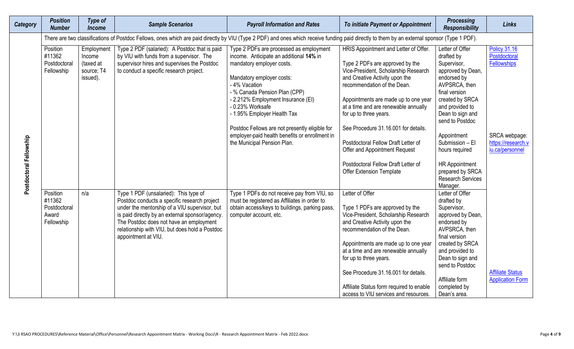| <b>Category</b>         | <b>Position</b><br><b>Number</b>                          | Type of<br><b>Income</b>                                    | <b>Sample Scenarios</b>                                                                                                                                                                                                                                                                                       | <b>Payroll Information and Rates</b>                                                                                                                                                                                                                                                                                                                                                                                       | To initiate Payment or Appointment                                                                                                                                                                                                                                                                                                                                                                                                                                                    | <b>Processing</b><br><b>Responsibility</b>                                                                                                                                                                                                                                                                                   | <b>Links</b>                                                                                                        |
|-------------------------|-----------------------------------------------------------|-------------------------------------------------------------|---------------------------------------------------------------------------------------------------------------------------------------------------------------------------------------------------------------------------------------------------------------------------------------------------------------|----------------------------------------------------------------------------------------------------------------------------------------------------------------------------------------------------------------------------------------------------------------------------------------------------------------------------------------------------------------------------------------------------------------------------|---------------------------------------------------------------------------------------------------------------------------------------------------------------------------------------------------------------------------------------------------------------------------------------------------------------------------------------------------------------------------------------------------------------------------------------------------------------------------------------|------------------------------------------------------------------------------------------------------------------------------------------------------------------------------------------------------------------------------------------------------------------------------------------------------------------------------|---------------------------------------------------------------------------------------------------------------------|
|                         |                                                           |                                                             |                                                                                                                                                                                                                                                                                                               | There are two classifications of Postdoc Fellows, ones which are paid directly by VIU (Type 2 PDF) and ones which receive funding paid directly to them by an external sponsor (Type 1 PDF).                                                                                                                                                                                                                               |                                                                                                                                                                                                                                                                                                                                                                                                                                                                                       |                                                                                                                                                                                                                                                                                                                              |                                                                                                                     |
| Postdoctoral Fellowship | Position<br>#11362<br>Postdoctoral<br>Fellowship          | Employment<br>Income<br>(taxed at<br>source; T4<br>issued). | Type 2 PDF (salaried): A Postdoc that is paid<br>by VIU with funds from a supervisor. The<br>supervisor hires and supervises the Postdoc<br>to conduct a specific research project.                                                                                                                           | Type 2 PDFs are processed as employment<br>income. Anticipate an additional 14% in<br>mandatory employer costs.<br>Mandatory employer costs:<br>- 4% Vacation<br>- % Canada Pension Plan (CPP)<br>- 2.212% Employment Insurance (EI)<br>- 0.23% Worksafe<br>- 1.95% Employer Health Tax<br>Postdoc Fellows are not presently eligible for<br>employer-paid health benefits or enrollment in<br>the Municipal Pension Plan. | HRIS Appointment and Letter of Offer.<br>Type 2 PDFs are approved by the<br>Vice-President, Scholarship Research<br>and Creative Activity upon the<br>recommendation of the Dean.<br>Appointments are made up to one year<br>at a time and are renewable annually<br>for up to three years.<br>See Procedure 31.16.001 for details.<br>Postdoctoral Fellow Draft Letter of<br>Offer and Appointment Request<br>Postdoctoral Fellow Draft Letter of<br><b>Offer Extension Template</b> | Letter of Offer<br>drafted by<br>Supervisor,<br>approved by Dean,<br>endorsed by<br>AVPSRCA, then<br>final version<br>created by SRCA<br>and provided to<br>Dean to sign and<br>send to Postdoc<br>Appointment<br>Submission - El<br>hours required<br><b>HR Appointment</b><br>prepared by SRCA<br><b>Research Services</b> | <b>Policy 31.16</b><br>Postdoctoral<br><b>Fellowships</b><br>SRCA webpage:<br>https://research.v<br>iu.ca/personnel |
|                         | Position<br>#11362<br>Postdoctoral<br>Award<br>Fellowship | n/a                                                         | Type 1 PDF (unsalaried): This type of<br>Postdoc conducts a specific research project<br>under the mentorship of a VIU supervisor, but<br>is paid directly by an external sponsor/agency.<br>The Postdoc does not have an employment<br>relationship with VIU, but does hold a Postdoc<br>appointment at VIU. | Type 1 PDFs do not receive pay from VIU, so<br>must be registered as Affiliates in order to<br>obtain access/keys to buildings, parking pass,<br>computer account, etc.                                                                                                                                                                                                                                                    | Letter of Offer<br>Type 1 PDFs are approved by the<br>Vice-President, Scholarship Research<br>and Creative Activity upon the<br>recommendation of the Dean.<br>Appointments are made up to one year<br>at a time and are renewable annually<br>for up to three years.<br>See Procedure 31.16.001 for details.<br>Affiliate Status form required to enable<br>access to VIU services and resources.                                                                                    | Manager.<br>Letter of Offer<br>drafted by<br>Supervisor,<br>approved by Dean,<br>endorsed by<br>AVPSRCA, then<br>final version<br>created by SRCA<br>and provided to<br>Dean to sign and<br>send to Postdoc<br>Affiliate form<br>completed by<br>Dean's area.                                                                | <b>Affiliate Status</b><br><b>Application Form</b>                                                                  |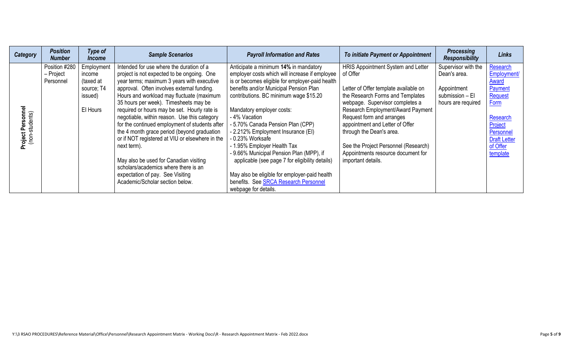| <b>Category</b>                     | <b>Position</b><br><b>Number</b>        | Type of<br><i><u><b>Income</b></u></i>                                 | <b>Sample Scenarios</b>                                                                                                                                                                                                                                                                                                                                                                                                                                                                                                                                                                                                                                                                              | <b>Payroll Information and Rates</b>                                                                                                                                                                                                                                                                                                                                                                                                                                                                                                                                                                                      | To initiate Payment or Appointment                                                                                                                                                                                                                                                                                                                                                                  | <b>Processing</b><br><b>Responsibility</b>                                                  | <b>Links</b>                                                                                                                                             |
|-------------------------------------|-----------------------------------------|------------------------------------------------------------------------|------------------------------------------------------------------------------------------------------------------------------------------------------------------------------------------------------------------------------------------------------------------------------------------------------------------------------------------------------------------------------------------------------------------------------------------------------------------------------------------------------------------------------------------------------------------------------------------------------------------------------------------------------------------------------------------------------|---------------------------------------------------------------------------------------------------------------------------------------------------------------------------------------------------------------------------------------------------------------------------------------------------------------------------------------------------------------------------------------------------------------------------------------------------------------------------------------------------------------------------------------------------------------------------------------------------------------------------|-----------------------------------------------------------------------------------------------------------------------------------------------------------------------------------------------------------------------------------------------------------------------------------------------------------------------------------------------------------------------------------------------------|---------------------------------------------------------------------------------------------|----------------------------------------------------------------------------------------------------------------------------------------------------------|
| Project Personnel<br>(non-students) | Position #280<br>- Project<br>Personnel | Employment<br>income<br>(taxed at<br>source; T4<br>issued)<br>El Hours | Intended for use where the duration of a<br>project is not expected to be ongoing. One<br>year terms; maximum 3 years with executive<br>approval. Often involves external funding.<br>Hours and workload may fluctuate (maximum<br>35 hours per week). Timesheets may be<br>required or hours may be set. Hourly rate is<br>negotiable, within reason. Use this category<br>for the continued employment of students after<br>the 4 month grace period (beyond graduation<br>or if NOT registered at VIU or elsewhere in the<br>next term).<br>May also be used for Canadian visiting<br>scholars/academics where there is an<br>expectation of pay. See Visiting<br>Academic/Scholar section below. | Anticipate a minimum 14% in mandatory<br>employer costs which will increase if employee<br>is or becomes eligible for employer-paid health<br>benefits and/or Municipal Pension Plan<br>contributions. BC minimum wage \$15.20<br>Mandatory employer costs:<br>- 4% Vacation<br>- 5.70% Canada Pension Plan (CPP)<br>- 2.212% Employment Insurance (EI)<br>0.23% Worksafe<br>- 1.95% Employer Health Tax<br>- 9.66% Municipal Pension Plan (MPP), if<br>applicable (see page 7 for eligibility details)<br>May also be eligible for employer-paid health<br>benefits. See SRCA Research Personnel<br>webpage for details. | HRIS Appointment System and Letter<br>of Offer<br>Letter of Offer template available on<br>the Research Forms and Templates<br>webpage. Supervisor completes a<br>Research Employment/Award Payment<br>Request form and arranges<br>appointment and Letter of Offer<br>through the Dean's area.<br>See the Project Personnel (Research)<br>Appointments resource document for<br>important details. | Supervisor with the<br>Dean's area.<br>Appointment<br>submission - El<br>hours are required | Research<br>Employment/<br>Award<br>Payment<br>Request<br><b>Form</b><br>Research<br>Project<br>Personnel<br><b>Draft Letter</b><br>of Offer<br>template |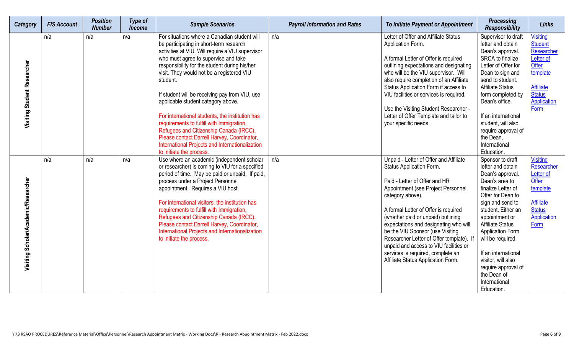| <b>Category</b>                      | <b>FIS Account</b> | <b>Position</b><br><b>Number</b> | <b>Type of</b><br><b>Income</b> | <b>Sample Scenarios</b>                                                                                                                                                                                                                                                                                                                                                                                                                                                                                                                                                                                                                                        | <b>Payroll Information and Rates</b> | To initiate Payment or Appointment                                                                                                                                                                                                                                                                                                                                                                                                                                                        | <b>Processing</b><br><b>Responsibility</b>                                                                                                                                                                                                                                                                                                                                      | <b>Links</b>                                                                                                                                  |
|--------------------------------------|--------------------|----------------------------------|---------------------------------|----------------------------------------------------------------------------------------------------------------------------------------------------------------------------------------------------------------------------------------------------------------------------------------------------------------------------------------------------------------------------------------------------------------------------------------------------------------------------------------------------------------------------------------------------------------------------------------------------------------------------------------------------------------|--------------------------------------|-------------------------------------------------------------------------------------------------------------------------------------------------------------------------------------------------------------------------------------------------------------------------------------------------------------------------------------------------------------------------------------------------------------------------------------------------------------------------------------------|---------------------------------------------------------------------------------------------------------------------------------------------------------------------------------------------------------------------------------------------------------------------------------------------------------------------------------------------------------------------------------|-----------------------------------------------------------------------------------------------------------------------------------------------|
| Visiting Student Researcher          | n/a                | n/a                              | n/a                             | For situations where a Canadian student will<br>be participating in short-term research<br>activities at VIU. Will require a VIU supervisor<br>who must agree to supervise and take<br>responsibility for the student during his/her<br>visit. They would not be a registered VIU<br>student.<br>If student will be receiving pay from VIU, use<br>applicable student category above.<br>For international students, the institution has<br>requirements to fulfill with Immigration,<br>Refugees and Citizenship Canada (IRCC).<br>Please contact Darrell Harvey, Coordinator,<br>International Projects and Internationalization<br>to initiate the process. | n/a                                  | Letter of Offer and Affiliate Status<br>Application Form.<br>A formal Letter of Offer is required<br>outlining expectations and designating<br>who will be the VIU supervisor. Will<br>also require completion of an Affiliate<br>Status Application Form if access to<br>VIU facilities or services is required.<br>Use the Visiting Student Researcher -<br>Letter of Offer Template and tailor to<br>your specific needs.                                                              | Supervisor to draft<br>letter and obtain<br>Dean's approval.<br>SRCA to finalize<br>Letter of Offer for<br>Dean to sign and<br>send to student.<br><b>Affiliate Status</b><br>form completed by<br>Dean's office.<br>If an international<br>student, will also<br>require approval of<br>the Dean,<br>International<br>Education.                                               | <b>Visiting</b><br>Student<br>Researcher<br><b>Letter of</b><br>Offer<br>template<br><b>Affiliate</b><br><b>Status</b><br>Application<br>Form |
| Visiting Scholar/Academic/Researcher | n/a                | n/a                              | n/a                             | Use where an academic (independent scholar<br>or researcher) is coming to VIU for a specified<br>period of time. May be paid or unpaid. If paid,<br>process under a Project Personnel<br>appointment. Requires a VIU host.<br>For international visitors, the institution has<br>requirements to fulfill with Immigration,<br>Refugees and Citizenship Canada (IRCC).<br>Please contact Darrell Harvey, Coordinator,<br>International Projects and Internationalization<br>to initiate the process.                                                                                                                                                            | n/a                                  | Unpaid - Letter of Offer and Affiliate<br>Status Application Form.<br>Paid - Letter of Offer and HR<br>Appointment (see Project Personnel<br>category above).<br>A formal Letter of Offer is required<br>(whether paid or unpaid) outlining<br>expectations and designating who will<br>be the VIU Sponsor (use Visiting<br>Researcher Letter of Offer template). If<br>unpaid and access to VIU facilities or<br>services is required, complete an<br>Affiliate Status Application Form. | Sponsor to draft<br>letter and obtain<br>Dean's approval.<br>Dean's area to<br>finalize Letter of<br>Offer for Dean to<br>sign and send to<br>student. Either an<br>appointment or<br><b>Affiliate Status</b><br><b>Application Form</b><br>will be required.<br>If an international<br>visitor, will also<br>require approval of<br>the Dean of<br>International<br>Education. | <b>Visiting</b><br>Researcher<br><b>Letter of</b><br>Offer<br>template<br><b>Affiliate</b><br><b>Status</b><br>Application<br>Form            |
|                                      |                    |                                  |                                 | Y:\3 RSAO PROCEDURES\Reference Material\Office\Personnel\Research Appointment Matrix - Working Docs\R - Research Appointment Matrix - Feb 2022.docx                                                                                                                                                                                                                                                                                                                                                                                                                                                                                                            |                                      |                                                                                                                                                                                                                                                                                                                                                                                                                                                                                           |                                                                                                                                                                                                                                                                                                                                                                                 | Page 6 of 9                                                                                                                                   |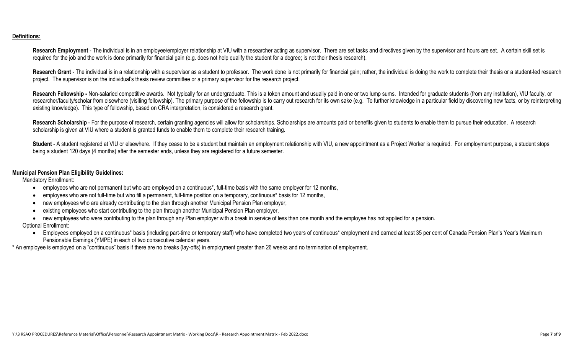## **Definitions:**

Research Employment - The individual is in an employee/employer relationship at VIU with a researcher acting as supervisor. There are set tasks and directives given by the supervisor and hours are set. A certain skill set required for the job and the work is done primarily for financial gain (e.g. does not help qualify the student for a degree; is not their thesis research).

Research Grant - The individual is in a relationship with a supervisor as a student to professor. The work done is not primarily for financial gain; rather, the individual is doing the work to complete their thesis or a st project. The supervisor is on the individual's thesis review committee or a primary supervisor for the research project.

Research Fellowship - Non-salaried competitive awards. Not typically for an undergraduate. This is a token amount and usually paid in one or two lump sums. Intended for graduate students (from any institution), VIU faculty researcher/faculty/scholar from elsewhere (visiting fellowship). The primary purpose of the fellowship is to carry out research for its own sake (e.g. To further knowledge in a particular field by discovering new facts, or existing knowledge). This type of fellowship, based on CRA interpretation, is considered a research grant.

Research Scholarship - For the purpose of research, certain granting agencies will allow for scholarships. Scholarships are amounts paid or benefits given to students to enable them to pursue their education. A research scholarship is given at VIU where a student is granted funds to enable them to complete their research training.

Student - A student registered at VIU or elsewhere. If they cease to be a student but maintain an employment relationship with VIU, a new appointment as a Project Worker is required. For employment purpose, a student stops being a student 120 days (4 months) after the semester ends, unless they are registered for a future semester.

## **Municipal Pension Plan Eligibility Guidelines:**

Mandatory Enrollment:

- employees who are not permanent but who are employed on a continuous\*, full-time basis with the same employer for 12 months,
- employees who are not full-time but who fill a permanent, full-time position on a temporary, continuous\* basis for 12 months,
- new employees who are already contributing to the plan through another Municipal Pension Plan employer,
- existing employees who start contributing to the plan through another Municipal Pension Plan employer,
- new employees who were contributing to the plan through any Plan employer with a break in service of less than one month and the employee has not applied for a pension.

Optional Enrollment:

• Employees employed on a continuous\* basis (including part-time or temporary staff) who have completed two years of continuous\* employment and earned at least 35 per cent of Canada Pension Plan's Year's Maximum Pensionable Earnings (YMPE) in each of two consecutive calendar years.

\* An employee is employed on a "continuous" basis if there are no breaks (lay-offs) in employment greater than 26 weeks and no termination of employment.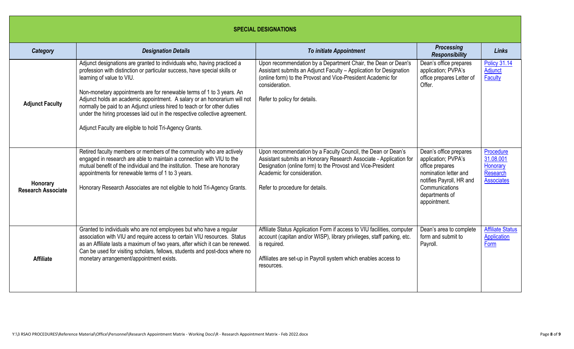|                                       |                                                                                                                                                                                                                                                                                                                                                                                                                                                                                                                                                               | <b>SPECIAL DESIGNATIONS</b>                                                                                                                                                                                                                                         |                                                                                                                                                                           |                                                                            |
|---------------------------------------|---------------------------------------------------------------------------------------------------------------------------------------------------------------------------------------------------------------------------------------------------------------------------------------------------------------------------------------------------------------------------------------------------------------------------------------------------------------------------------------------------------------------------------------------------------------|---------------------------------------------------------------------------------------------------------------------------------------------------------------------------------------------------------------------------------------------------------------------|---------------------------------------------------------------------------------------------------------------------------------------------------------------------------|----------------------------------------------------------------------------|
| Category                              | <b>Designation Details</b>                                                                                                                                                                                                                                                                                                                                                                                                                                                                                                                                    | <b>To initiate Appointment</b>                                                                                                                                                                                                                                      | <b>Processing</b><br><b>Responsibility</b>                                                                                                                                | <b>Links</b>                                                               |
| <b>Adjunct Faculty</b>                | Adjunct designations are granted to individuals who, having practiced a<br>profession with distinction or particular success, have special skills or<br>learning of value to VIU.<br>Non-monetary appointments are for renewable terms of 1 to 3 years. An<br>Adjunct holds an academic appointment. A salary or an honorarium will not<br>normally be paid to an Adjunct unless hired to teach or for other duties<br>under the hiring processes laid out in the respective collective agreement.<br>Adjunct Faculty are eligible to hold Tri-Agency Grants. | Upon recommendation by a Department Chair, the Dean or Dean's<br>Assistant submits an Adjunct Faculty - Application for Designation<br>(online form) to the Provost and Vice-President Academic for<br>consideration.<br>Refer to policy for details.               | Dean's office prepares<br>application; PVPA's<br>office prepares Letter of<br>Offer.                                                                                      | <b>Policy 31.14</b><br>Adjunct<br><b>Faculty</b>                           |
| Honorary<br><b>Research Associate</b> | Retired faculty members or members of the community who are actively<br>engaged in research are able to maintain a connection with VIU to the<br>mutual benefit of the individual and the institution. These are honorary<br>appointments for renewable terms of 1 to 3 years.<br>Honorary Research Associates are not eligible to hold Tri-Agency Grants.                                                                                                                                                                                                    | Upon recommendation by a Faculty Council, the Dean or Dean's<br>Assistant submits an Honorary Research Associate - Application for<br>Designation (online form) to the Provost and Vice-President<br>Academic for consideration.<br>Refer to procedure for details. | Dean's office prepares<br>application; PVPA's<br>office prepares<br>nomination letter and<br>notifies Payroll, HR and<br>Communications<br>departments of<br>appointment. | Procedure<br>31.08.001<br>Honorary<br><b>Research</b><br><b>Associates</b> |
| <b>Affiliate</b>                      | Granted to individuals who are not employees but who have a regular<br>association with VIU and require access to certain VIU resources. Status<br>as an Affiliate lasts a maximum of two years, after which it can be renewed.<br>Can be used for visiting scholars, fellows, students and post-docs where no<br>monetary arrangement/appointment exists.                                                                                                                                                                                                    | Affiliate Status Application Form if access to VIU facilities, computer<br>account (capitan and/or WISP), library privileges, staff parking, etc.<br>is required.<br>Affiliates are set-up in Payroll system which enables access to<br>resources.                  | Dean's area to complete<br>form and submit to<br>Payroll.                                                                                                                 | <b>Affiliate Status</b><br><b>Application</b><br>Form                      |